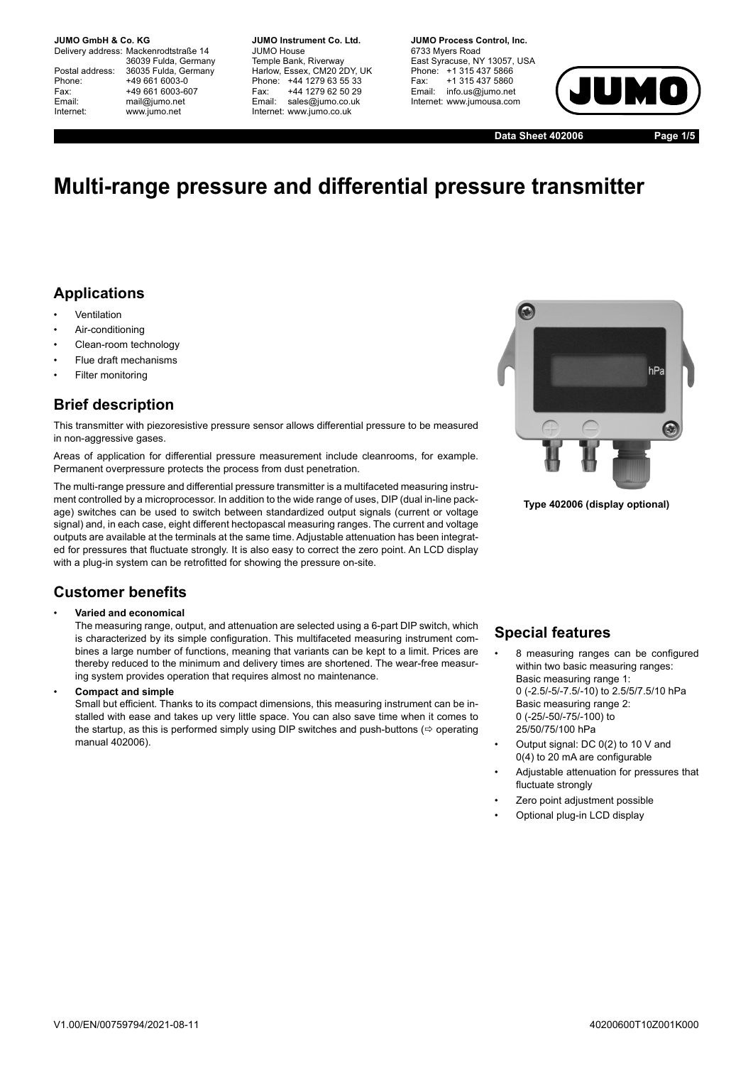**JUMO GmbH & Co. KG.** 

Delivery address: Mackenrodtstraße 14 36039 Fulda, Germany Postal address: 36035 Fulda, Germany<br>Phone: +49 661 6003-0 Phone: +49 661 6003-0<br>Fax: +49 661 6003-6 Fax: +49 661 6003-607<br>
Fmail: mail@iumo.net mail@iumo.net Internet: www.jumo.net

**-BUMO Instrument Co. Ltd.** JUMO House Temple Bank, Riverway Harlow, Essex, CM20 2DY, UK Phone: +44 1279 63 55 33<br>Fax: +44 1279 62 50 29 Fax: +44 1279 62 50 29<br>Email: sales@iumo.co.uk sales@iumo.co.uk Internet: www.jumo.co.uk

**-BURG Process Control Inc.** 6733 Myers Road East Syracuse, NY 13057, USA Phone: +1 315 437 5866<br>Fax: +1 315 437 5860 Fax: +1 315 437 5860<br>Email: info.us@jumo.net info.us@jumo.net Internet: www.jumousa.com



**Data Sheet 402006 Page 1/5**

# **Multi-range pressure and differential pressure transmitter**

## **Applications**

- **Ventilation**
- Air-conditioning
- Clean-room technology
- Flue draft mechanisms
- Filter monitoring

## **Brief description**

This transmitter with piezoresistive pressure sensor allows differential pressure to be measured in non-aggressive gases.

Areas of application for differential pressure measurement include cleanrooms, for example. Permanent overpressure protects the process from dust penetration.

The multi-range pressure and differential pressure transmitter is a multifaceted measuring instrument controlled by a microprocessor. In addition to the wide range of uses, DIP (dual in-line package) switches can be used to switch between standardized output signals (current or voltage signal) and, in each case, eight different hectopascal measuring ranges. The current and voltage outputs are available at the terminals at the same time. Adjustable attenuation has been integrated for pressures that fluctuate strongly. It is also easy to correct the zero point. An LCD display with a plug-in system can be retrofitted for showing the pressure on-site.

### **Customer benefits**

#### • **Varied and economical**

The measuring range, output, and attenuation are selected using a 6-part DIP switch, which is characterized by its simple configuration. This multifaceted measuring instrument combines a large number of functions, meaning that variants can be kept to a limit. Prices are thereby reduced to the minimum and delivery times are shortened. The wear-free measuring system provides operation that requires almost no maintenance.

• **Compact and simple**

Small but efficient. Thanks to its compact dimensions, this measuring instrument can be installed with ease and takes up very little space. You can also save time when it comes to the startup, as this is performed simply using DIP switches and push-buttons ( $\Leftrightarrow$  operating manual 402006).



**Type 402006 (display optional)**

### **Special features**

- 8 measuring ranges can be configured within two basic measuring ranges: Basic measuring range 1: 0 (-2.5/-5/-7.5/-10) to 2.5/5/7.5/10 hPa Basic measuring range 2: 0 (-25/-50/-75/-100) to 25/50/75/100 hPa
- Output signal: DC 0(2) to 10 V and 0(4) to 20 mA are configurable
- Adjustable attenuation for pressures that fluctuate strongly
- Zero point adjustment possible
- Optional plug-in LCD display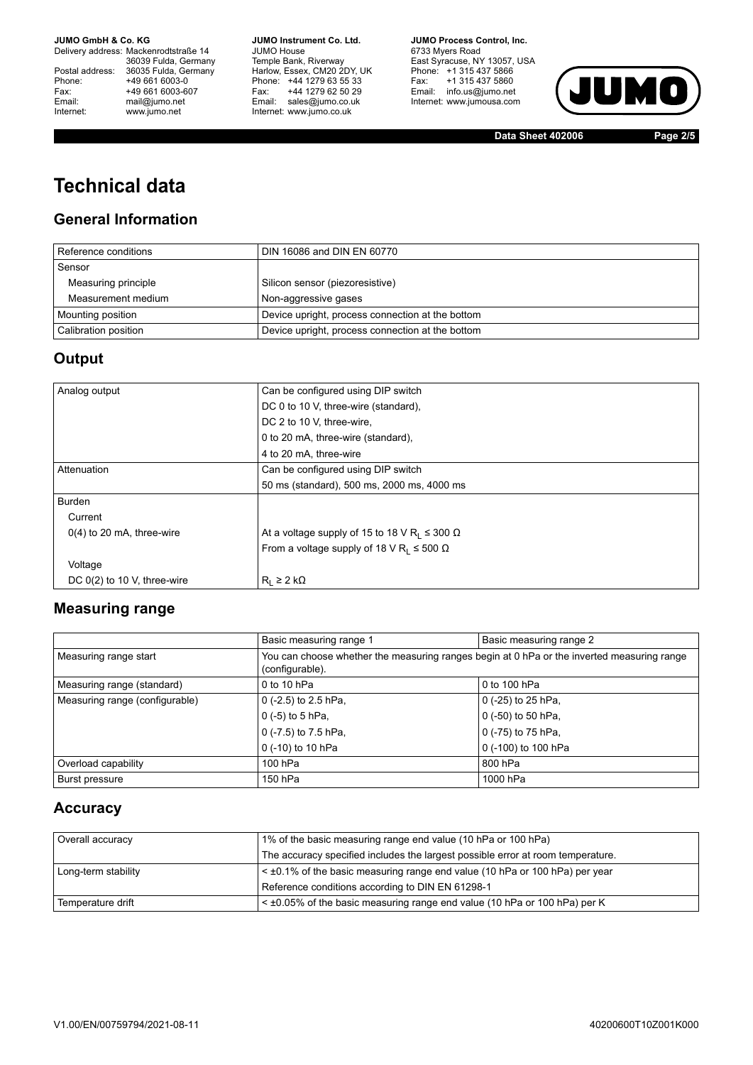**JUMO GmbH & Co. KG** 

Delivery address: Mackenrodtstraße 14 36039 Fulda, Germany<br>Postal address: 36035 Fulda, Germany Phone: +49 661 6003-0<br>
Fax: +49 661 6003-6<br>
Email: mail@jumo.net +49 661 6003-607 Email: mail@jumo.net<br>Internet: www.iumo.net www.jumo.net

**JUMO Instrument Co. Ltd.** JUMO House Temple Bank, Riverway<br>Harlow, Essex, CM20 2DY, UK Phone: +44 1279 63 55 33 Fax: +44 1279 62 50 29<br>Email: sales@jumo.co.uk Internet: www.jumo.co.uk

**JUMO Process Control, Inc.** 6733 Myers Road East Syracuse, NY 13057, USA<br>Phone: +1 315 437 5866<br>Fax: +1 315 437 5860 Email: info.us@jumo.net Internet: www.jumousa.com



**Data Sheet 402006 Page 2/5**

# **Technical data**

## **General Information**

| Reference conditions | DIN 16086 and DIN EN 60770                       |
|----------------------|--------------------------------------------------|
| Sensor               |                                                  |
| Measuring principle  | Silicon sensor (piezoresistive)                  |
| Measurement medium   | Non-aggressive gases                             |
| Mounting position    | Device upright, process connection at the bottom |
| Calibration position | Device upright, process connection at the bottom |

## **Output**

| Analog output                 | Can be configured using DIP switch                                   |
|-------------------------------|----------------------------------------------------------------------|
|                               | DC 0 to 10 V, three-wire (standard),                                 |
|                               | DC 2 to 10 V, three-wire,                                            |
|                               | 0 to 20 mA, three-wire (standard),                                   |
|                               | 4 to 20 mA, three-wire                                               |
| Attenuation                   | Can be configured using DIP switch                                   |
|                               | 50 ms (standard), 500 ms, 2000 ms, 4000 ms                           |
| <b>Burden</b>                 |                                                                      |
| Current                       |                                                                      |
| $0(4)$ to 20 mA, three-wire   | At a voltage supply of 15 to 18 V R <sub>1</sub> $\leq$ 300 $\Omega$ |
|                               | From a voltage supply of 18 V R <sub>L</sub> $\leq$ 500 $\Omega$     |
| Voltage                       |                                                                      |
| DC $0(2)$ to 10 V, three-wire | $R_1 \geq 2 k\Omega$                                                 |

### **Measuring range**

|                                | Basic measuring range 1                                                                                       | Basic measuring range 2 |
|--------------------------------|---------------------------------------------------------------------------------------------------------------|-------------------------|
| Measuring range start          | You can choose whether the measuring ranges begin at 0 hPa or the inverted measuring range<br>(configurable). |                         |
| Measuring range (standard)     | 0 to 10 hPa                                                                                                   | 0 to 100 hPa            |
| Measuring range (configurable) | 0 $(-2.5)$ to 2.5 hPa,                                                                                        | $0$ (-25) to 25 hPa,    |
|                                | 0 $(-5)$ to 5 hPa,                                                                                            | 0 (-50) to 50 hPa,      |
|                                | 0 (-7.5) to 7.5 hPa,                                                                                          | 0 (-75) to 75 hPa,      |
|                                | 0 (-10) to 10 hPa                                                                                             | 0 (-100) to 100 hPa     |
| Overload capability            | 100 hPa                                                                                                       | 800 hPa                 |
| <b>Burst pressure</b>          | 150 hPa                                                                                                       | 1000 hPa                |

### **Accuracy**

| Overall accuracy    | 1% of the basic measuring range end value (10 hPa or 100 hPa)                    |
|---------------------|----------------------------------------------------------------------------------|
|                     | The accuracy specified includes the largest possible error at room temperature.  |
| Long-term stability | $\leq$ ±0.1% of the basic measuring range end value (10 hPa or 100 hPa) per year |
|                     | Reference conditions according to DIN EN 61298-1                                 |
| Temperature drift   | $\leq$ ±0.05% of the basic measuring range end value (10 hPa or 100 hPa) per K   |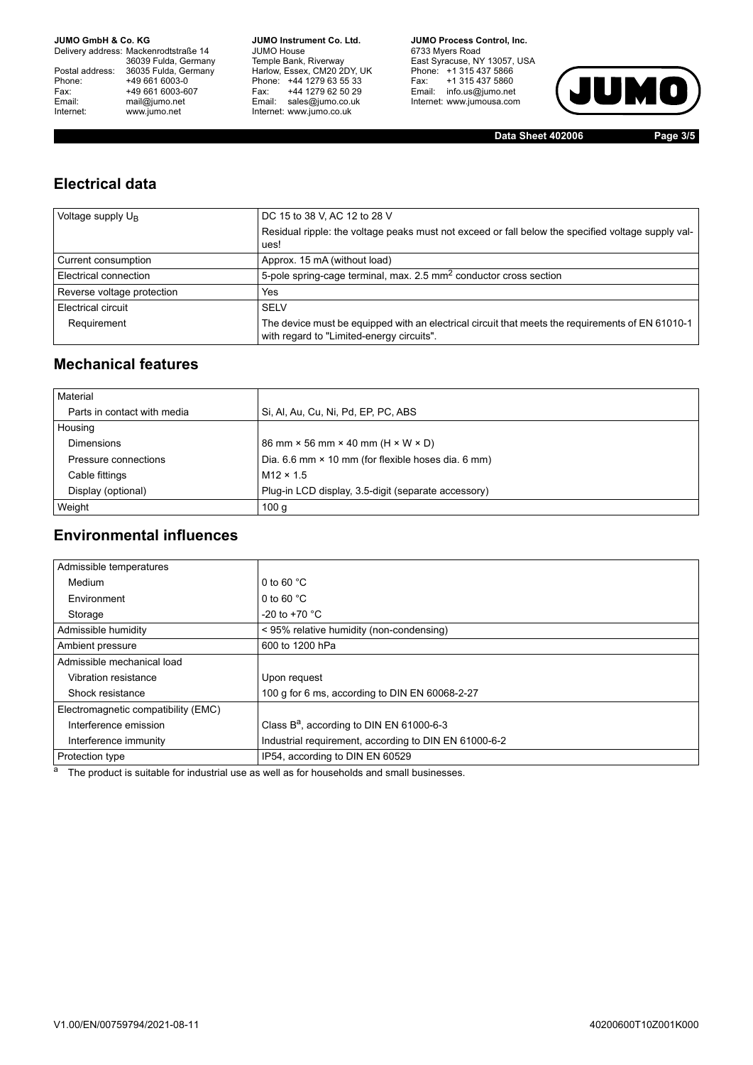**JUMO GmbH & Co. KG** 

Delivery address: Mackenrodtstraße 14 36039 Fulda, Germany<br>Postal address: 36035 Fulda, Germany Phone: +49 661 6003-0<br>
Fax: +49 661 6003-6<br>
Email: mail@jumo.net +49 661 6003-607 Email: mail@jumo.net<br>Internet: www.iumo.net www.jumo.net

**JUMO Instrument Co. Ltd.** JUMO House Temple Bank, Riverway<br>Harlow, Essex, CM20 2DY, UK Phone: +44 1279 63 55 33<br>Fax: +44 1279 62 50 29 +44 1279 62 50 29 Email: sales@jumo.co.uk Internet: www.jumo.co.uk

**JUMO Process Control, Inc.** 6733 Myers Road East Syracuse, NY 13057, USA<br>Phone: +1 315 437 5866<br>Fax: +1 315 437 5860 Email: info.us@jumo.net Internet: www.jumousa.com



**Data Sheet 402006 Page 3/5**

## **Electrical data**

| Voltage supply $U_{B}$     | DC 15 to 38 V, AC 12 to 28 V                                                                                                                  |
|----------------------------|-----------------------------------------------------------------------------------------------------------------------------------------------|
|                            | Residual ripple: the voltage peaks must not exceed or fall below the specified voltage supply val-                                            |
|                            | ues!                                                                                                                                          |
| Current consumption        | Approx. 15 mA (without load)                                                                                                                  |
| Electrical connection      | 5-pole spring-cage terminal, max. 2.5 mm <sup>2</sup> conductor cross section                                                                 |
| Reverse voltage protection | Yes                                                                                                                                           |
| Electrical circuit         | <b>SELV</b>                                                                                                                                   |
| Requirement                | The device must be equipped with an electrical circuit that meets the requirements of EN 61010-1<br>with regard to "Limited-energy circuits". |

## **Mechanical features**

| Material                    |                                                               |
|-----------------------------|---------------------------------------------------------------|
| Parts in contact with media | Si, Al, Au, Cu, Ni, Pd, EP, PC, ABS                           |
| Housing                     |                                                               |
| <b>Dimensions</b>           | 86 mm $\times$ 56 mm $\times$ 40 mm (H $\times$ W $\times$ D) |
| Pressure connections        | Dia. 6.6 mm × 10 mm (for flexible hoses dia. 6 mm)            |
| Cable fittings              | $M12 \times 1.5$                                              |
| Display (optional)          | Plug-in LCD display, 3.5-digit (separate accessory)           |
| Weight                      | 100 <sub>g</sub>                                              |

## **Environmental influences**

| Admissible temperatures             |                                                       |
|-------------------------------------|-------------------------------------------------------|
| Medium                              | 0 to 60 $°C$                                          |
| Environment                         | 0 to 60 $°C$                                          |
| Storage                             | $-20$ to $+70$ °C                                     |
| Admissible humidity                 | < 95% relative humidity (non-condensing)              |
| Ambient pressure                    | 600 to 1200 hPa                                       |
| Admissible mechanical load          |                                                       |
| Vibration resistance                | Upon request                                          |
| Shock resistance                    | 100 g for 6 ms, according to DIN EN 60068-2-27        |
| Electromagnetic compatibility (EMC) |                                                       |
| Interference emission               | Class $B^a$ , according to DIN EN 61000-6-3           |
| Interference immunity               | Industrial requirement, according to DIN EN 61000-6-2 |
| Protection type                     | IP54, according to DIN EN 60529                       |

 $a$  The product is suitable for industrial use as well as for households and small businesses.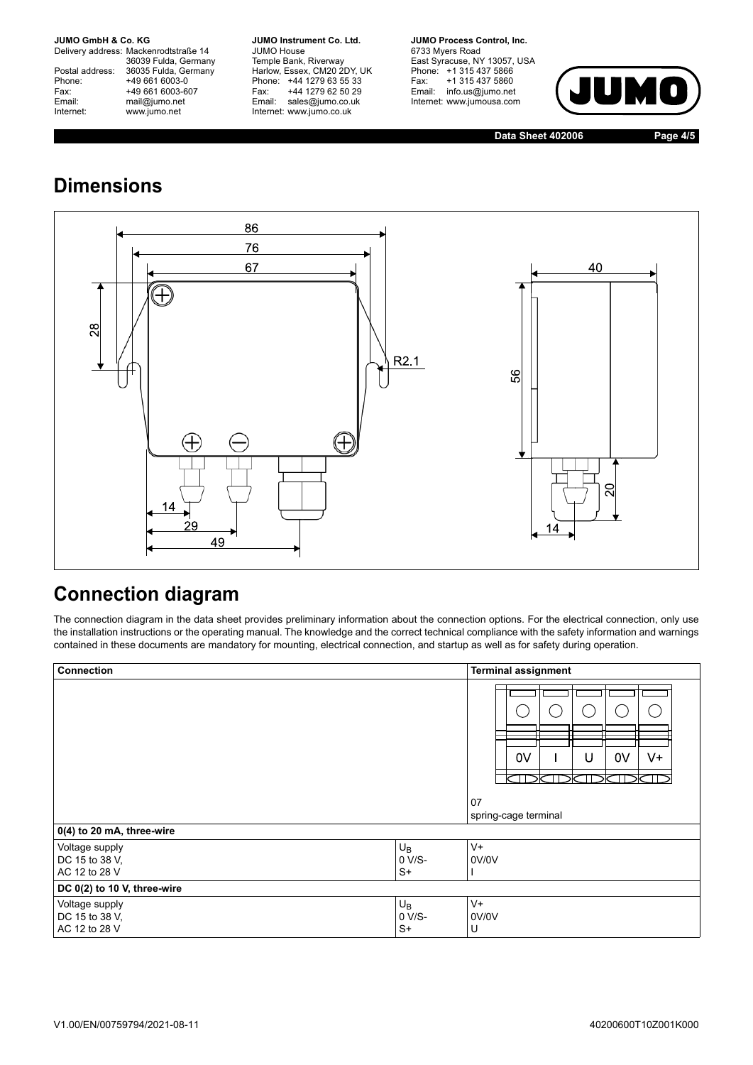**JUMO GmbH & Co. KG.** 

Delivery address: Mackenrodtstraße 14 36039 Fulda, Germany<br>Postal address: 36035 Fulda, Germany Phone: +49 661 6003-0<br>
Fax: +49 661 6003-6<br>
Email: mail@jumo.net +49 661 6003-607 mail@jumo.net Internet: www.jumo.net

**JUMO Instrument Co. Ltd.** JUMO House Temple Bank, Riverway<br>Harlow, Essex, CM20 2DY, UK Phone: +44 1279 63 55 33<br>Fax: +44 1279 62 50 29 +44 1279 62 50 29 Email: sales@jumo.co.uk Internet: www.jumo.co.uk

**JUMO Process Control, Inc.** 6733 Myers Road East Syracuse, NY 13057, USA Phone: +1 315 437 5866<br>Fax: +1 315 437 5860 +1 315 437 5860 Email: info.us@jumo.net Internet: www.jumousa.com



**Data Sheet 402006 Page 4/5**

# **Dimensions**



## **Connection diagram**

The connection diagram in the data sheet provides preliminary information about the connection options. For the electrical connection, only use the installation instructions or the operating manual. The knowledge and the correct technical compliance with the safety information and warnings contained in these documents are mandatory for mounting, electrical connection, and startup as well as for safety during operation.

| Connection                                        |                           | <b>Terminal assignment</b>                                    |  |
|---------------------------------------------------|---------------------------|---------------------------------------------------------------|--|
|                                                   |                           | 0V<br>0 <sup>V</sup><br>U<br>V+<br>07<br>spring-cage terminal |  |
| 0(4) to 20 mA, three-wire                         |                           |                                                               |  |
| Voltage supply<br>DC 15 to 38 V,<br>AC 12 to 28 V | $U_B$<br>0 V/S-<br>$S+$   | $V +$<br>0V/0V                                                |  |
| DC 0(2) to 10 V, three-wire                       |                           |                                                               |  |
| Voltage supply<br>DC 15 to 38 V,<br>AC 12 to 28 V | $U_B$<br>$0 V/S-$<br>$S+$ | V+<br>0V/0V<br>U                                              |  |